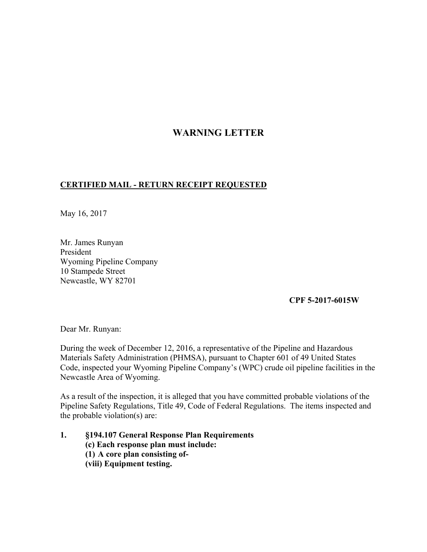## **WARNING LETTER**

## **CERTIFIED MAIL - RETURN RECEIPT REQUESTED**

May 16, 2017

Mr. James Runyan President Wyoming Pipeline Company 10 Stampede Street Newcastle, WY 82701

## **CPF 5-2017-6015W**

Dear Mr. Runyan:

During the week of December 12, 2016, a representative of the Pipeline and Hazardous Materials Safety Administration (PHMSA), pursuant to Chapter 601 of 49 United States Code, inspected your Wyoming Pipeline Company's (WPC) crude oil pipeline facilities in the Newcastle Area of Wyoming.

As a result of the inspection, it is alleged that you have committed probable violations of the Pipeline Safety Regulations, Title 49, Code of Federal Regulations. The items inspected and the probable violation(s) are:

**1. §194.107 General Response Plan Requirements (c) Each response plan must include: (1) A core plan consisting of- (viii) Equipment testing.**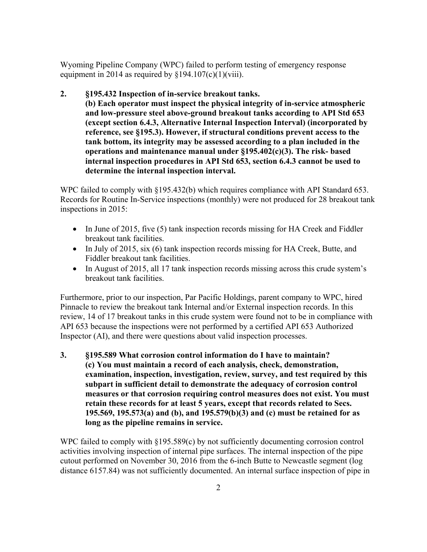Wyoming Pipeline Company (WPC) failed to perform testing of emergency response equipment in 2014 as required by  $\S 194.107(c)(1)(viii)$ .

**2. §195.432 Inspection of in-service breakout tanks.** 

**(b) Each operator must inspect the physical integrity of in-service atmospheric and low-pressure steel above-ground breakout tanks according to API Std 653 (except section 6.4.3, Alternative Internal Inspection Interval) (incorporated by reference, see §195.3). However, if structural conditions prevent access to the tank bottom, its integrity may be assessed according to a plan included in the operations and maintenance manual under §195.402(c)(3). The risk- based internal inspection procedures in API Std 653, section 6.4.3 cannot be used to determine the internal inspection interval.** 

WPC failed to comply with §195.432(b) which requires compliance with API Standard 653. Records for Routine In-Service inspections (monthly) were not produced for 28 breakout tank inspections in 2015:

- In June of 2015, five (5) tank inspection records missing for HA Creek and Fiddler breakout tank facilities.
- In July of 2015, six (6) tank inspection records missing for HA Creek, Butte, and Fiddler breakout tank facilities.
- In August of 2015, all 17 tank inspection records missing across this crude system's breakout tank facilities.

Furthermore, prior to our inspection, Par Pacific Holdings, parent company to WPC, hired Pinnacle to review the breakout tank Internal and/or External inspection records. In this review, 14 of 17 breakout tanks in this crude system were found not to be in compliance with API 653 because the inspections were not performed by a certified API 653 Authorized Inspector (AI), and there were questions about valid inspection processes.

**3. §195.589 What corrosion control information do I have to maintain? (c) You must maintain a record of each analysis, check, demonstration, examination, inspection, investigation, review, survey, and test required by this subpart in sufficient detail to demonstrate the adequacy of corrosion control measures or that corrosion requiring control measures does not exist. You must retain these records for at least 5 years, except that records related to Secs. 195.569, 195.573(a) and (b), and 195.579(b)(3) and (c) must be retained for as long as the pipeline remains in service.** 

WPC failed to comply with §195.589(c) by not sufficiently documenting corrosion control activities involving inspection of internal pipe surfaces. The internal inspection of the pipe cutout performed on November 30, 2016 from the 6-inch Butte to Newcastle segment (log distance 6157.84) was not sufficiently documented. An internal surface inspection of pipe in